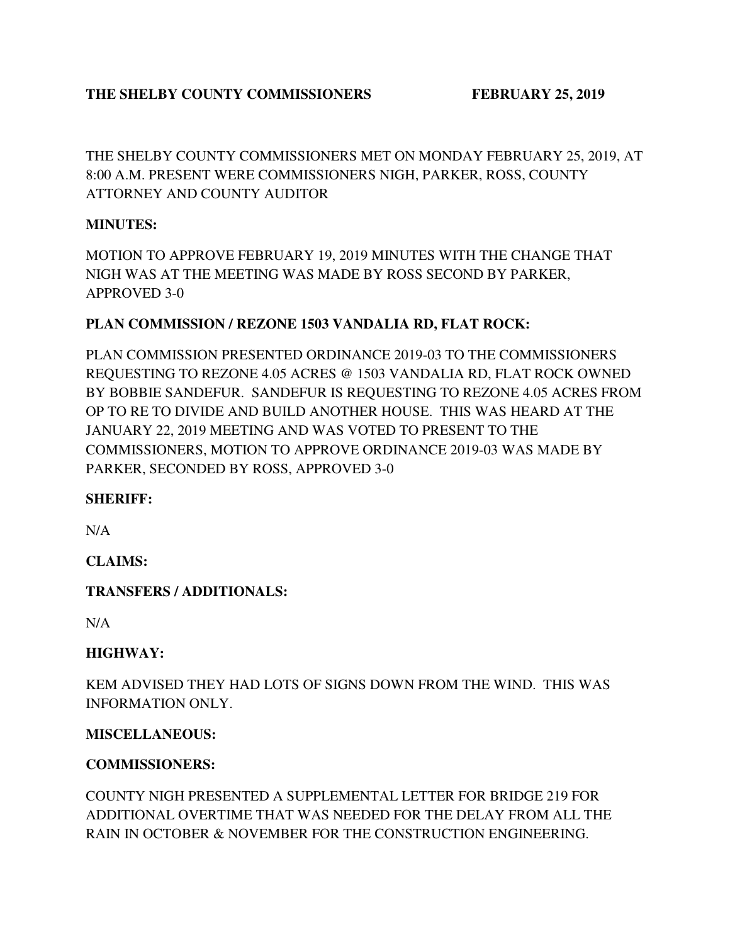### THE SHELBY COUNTY COMMISSIONERS FEBRUARY 25, 2019

THE SHELBY COUNTY COMMISSIONERS MET ON MONDAY FEBRUARY 25, 2019, AT 8:00 A.M. PRESENT WERE COMMISSIONERS NIGH, PARKER, ROSS, COUNTY ATTORNEY AND COUNTY AUDITOR

#### **MINUTES:**

MOTION TO APPROVE FEBRUARY 19, 2019 MINUTES WITH THE CHANGE THAT NIGH WAS AT THE MEETING WAS MADE BY ROSS SECOND BY PARKER, APPROVED 3-0

#### **PLAN COMMISSION / REZONE 1503 VANDALIA RD, FLAT ROCK:**

PLAN COMMISSION PRESENTED ORDINANCE 2019-03 TO THE COMMISSIONERS REQUESTING TO REZONE 4.05 ACRES @ 1503 VANDALIA RD, FLAT ROCK OWNED BY BOBBIE SANDEFUR. SANDEFUR IS REQUESTING TO REZONE 4.05 ACRES FROM OP TO RE TO DIVIDE AND BUILD ANOTHER HOUSE. THIS WAS HEARD AT THE JANUARY 22, 2019 MEETING AND WAS VOTED TO PRESENT TO THE COMMISSIONERS, MOTION TO APPROVE ORDINANCE 2019-03 WAS MADE BY PARKER, SECONDED BY ROSS, APPROVED 3-0

#### **SHERIFF:**

N/A

#### **CLAIMS:**

#### **TRANSFERS / ADDITIONALS:**

N/A

#### **HIGHWAY:**

KEM ADVISED THEY HAD LOTS OF SIGNS DOWN FROM THE WIND. THIS WAS INFORMATION ONLY.

#### **MISCELLANEOUS:**

#### **COMMISSIONERS:**

COUNTY NIGH PRESENTED A SUPPLEMENTAL LETTER FOR BRIDGE 219 FOR ADDITIONAL OVERTIME THAT WAS NEEDED FOR THE DELAY FROM ALL THE RAIN IN OCTOBER & NOVEMBER FOR THE CONSTRUCTION ENGINEERING.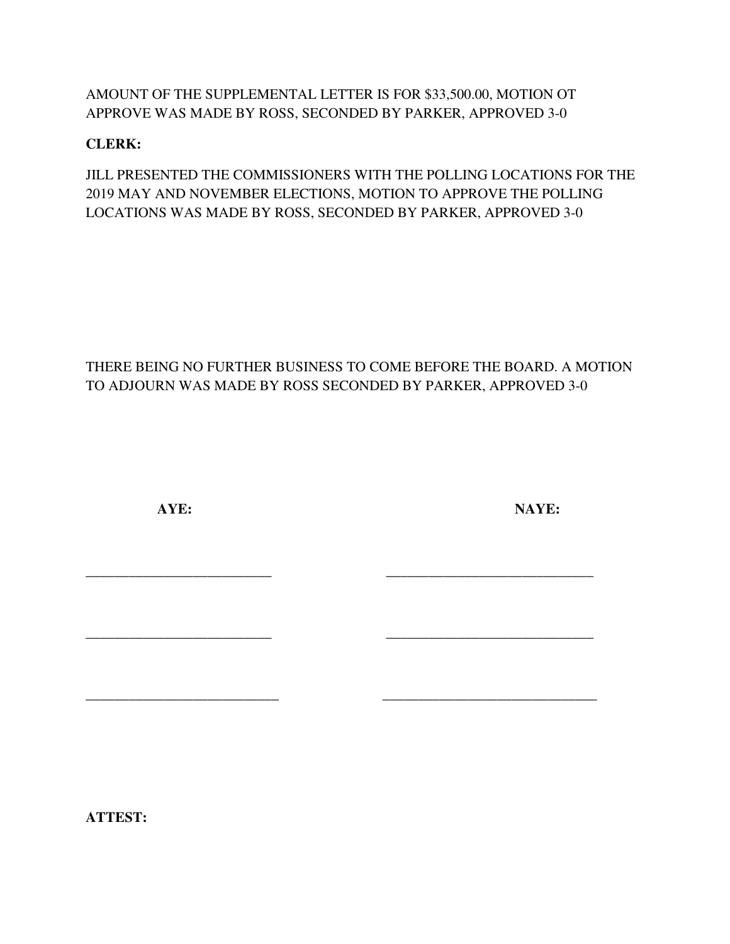AMOUNT OF THE SUPPLEMENTAL LETTER IS FOR \$33,500.00, MOTION OT APPROVE WAS MADE BY ROSS, SECONDED BY PARKER, APPROVED 3-0

## **CLERK:**

JILL PRESENTED THE COMMISSIONERS WITH THE POLLING LOCATIONS FOR THE 2019 MAY AND NOVEMBER ELECTIONS, MOTION TO APPROVE THE POLLING LOCATIONS WAS MADE BY ROSS, SECONDED BY PARKER, APPROVED 3-0

# THERE BEING NO FURTHER BUSINESS TO COME BEFORE THE BOARD. A MOTION TO ADJOURN WAS MADE BY ROSS SECONDED BY PARKER, APPROVED 3-0

**\_\_\_\_\_\_\_\_\_\_\_\_\_\_\_\_\_\_\_\_\_\_\_\_\_\_ \_\_\_\_\_\_\_\_\_\_\_\_\_\_\_\_\_\_\_\_\_\_\_\_\_\_\_\_\_** 

**\_\_\_\_\_\_\_\_\_\_\_\_\_\_\_\_\_\_\_\_\_\_\_\_\_\_ \_\_\_\_\_\_\_\_\_\_\_\_\_\_\_\_\_\_\_\_\_\_\_\_\_\_\_\_\_** 

**\_\_\_\_\_\_\_\_\_\_\_\_\_\_\_\_\_\_\_\_\_\_\_\_\_\_\_ \_\_\_\_\_\_\_\_\_\_\_\_\_\_\_\_\_\_\_\_\_\_\_\_\_\_\_\_\_\_** 

 **AYE: NAYE:** 

**ATTEST:**